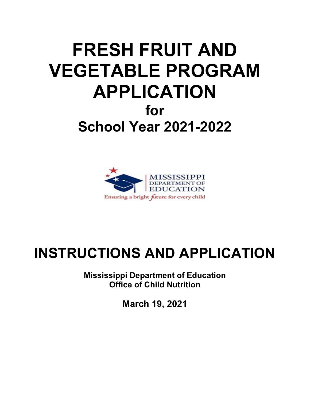# **FRESH FRUIT AND VEGETABLE PROGRAM APPLICATION for School Year 2021-2022**



# **INSTRUCTIONS AND APPLICATION**

**Mississippi Department of Education Office of Child Nutrition**

**March 19, 2021**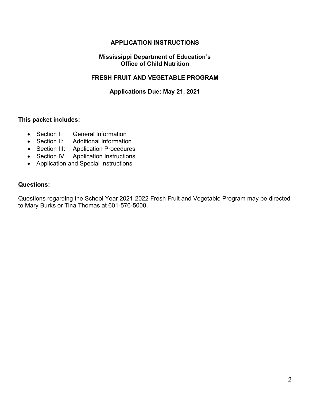# **APPLICATION INSTRUCTIONS**

#### **Mississippi Department of Education's Office of Child Nutrition**

#### **FRESH FRUIT AND VEGETABLE PROGRAM**

#### **Applications Due: May 21, 2021**

#### **This packet includes:**

- Section I: General Information
- Section II: Additional Information
- Section III: Application Procedures
- Section IV: Application Instructions
- Application and Special Instructions

#### **Questions:**

Questions regarding the School Year 2021-2022 Fresh Fruit and Vegetable Program may be directed to Mary Burks or Tina Thomas at 601-576-5000.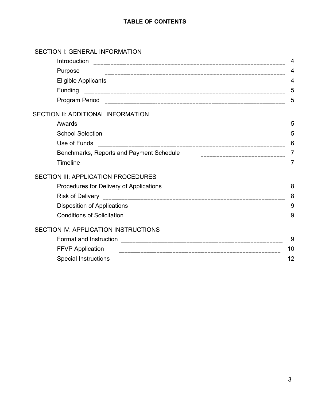# **TABLE OF CONTENTS**

# SECTION I: GENERAL INFORMATION

| Introduction                                                                                                                                                                                                                        | $\overline{4}$ |
|-------------------------------------------------------------------------------------------------------------------------------------------------------------------------------------------------------------------------------------|----------------|
| Purpose                                                                                                                                                                                                                             | 4              |
| Eligible Applicants <b>contracts</b> and the contract of the contract of the contract of the contract of the contract of the contract of the contract of the contract of the contract of the contract of the contract of the contra | $\overline{4}$ |
| Funding                                                                                                                                                                                                                             | 5              |
|                                                                                                                                                                                                                                     | 5              |
| SECTION II: ADDITIONAL INFORMATION                                                                                                                                                                                                  |                |
| Awards                                                                                                                                                                                                                              | 5              |
| <b>School Selection</b>                                                                                                                                                                                                             | 5              |
| Use of Funds                                                                                                                                                                                                                        | 6              |
| Benchmarks, Reports and Payment Schedule                                                                                                                                                                                            | 7              |
| Timeline                                                                                                                                                                                                                            | 7              |
| <b>SECTION III: APPLICATION PROCEDURES</b>                                                                                                                                                                                          |                |
| Procedures for Delivery of Applications [100] [100] [100] [100] [100] [100] [100] [100] [100] [100] [100] [100                                                                                                                      | 8              |
| <b>Risk of Delivery</b>                                                                                                                                                                                                             | 8              |
|                                                                                                                                                                                                                                     | 9              |
| <b>Conditions of Solicitation</b>                                                                                                                                                                                                   | 9              |
| <b>SECTION IV: APPLICATION INSTRUCTIONS</b>                                                                                                                                                                                         |                |
| Format and Instruction                                                                                                                                                                                                              | 9              |
| <b>FFVP Application</b>                                                                                                                                                                                                             | 10             |
| <b>Special Instructions</b>                                                                                                                                                                                                         | 12             |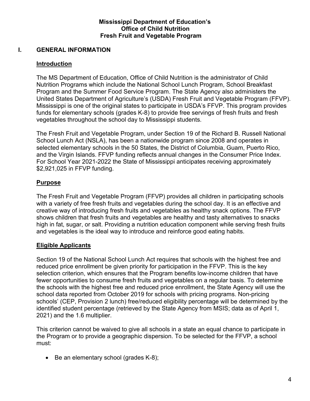#### **Mississippi Department of Education's Office of Child Nutrition Fresh Fruit and Vegetable Program**

## **I. GENERAL INFORMATION**

# **Introduction**

The MS Department of Education, Office of Child Nutrition is the administrator of Child Nutrition Programs which include the National School Lunch Program, School Breakfast Program and the Summer Food Service Program. The State Agency also administers the United States Department of Agriculture's (USDA) Fresh Fruit and Vegetable Program (FFVP). Mississippi is one of the original states to participate in USDA's FFVP. This program provides funds for elementary schools (grades K-8) to provide free servings of fresh fruits and fresh vegetables throughout the school day to Mississippi students.

The Fresh Fruit and Vegetable Program, under Section 19 of the Richard B. Russell National School Lunch Act (NSLA), has been a nationwide program since 2008 and operates in selected elementary schools in the 50 States, the District of Columbia, Guam, Puerto Rico, and the Virgin Islands. FFVP funding reflects annual changes in the Consumer Price Index. For School Year 2021-2022 the State of Mississippi anticipates receiving approximately \$2,921,025 in FFVP funding.

# **Purpose**

The Fresh Fruit and Vegetable Program (FFVP) provides all children in participating schools with a variety of free fresh fruits and vegetables during the school day. It is an effective and creative way of introducing fresh fruits and vegetables as healthy snack options. The FFVP shows children that fresh fruits and vegetables are healthy and tasty alternatives to snacks high in fat, sugar, or salt. Providing a nutrition education component while serving fresh fruits and vegetables is the ideal way to introduce and reinforce good eating habits.

#### **Eligible Applicants**

Section 19 of the National School Lunch Act requires that schools with the highest free and reduced price enrollment be given priority for participation in the FFVP. This is the key selection criterion, which ensures that the Program benefits low-income children that have fewer opportunities to consume fresh fruits and vegetables on a regular basis. To determine the schools with the highest free and reduced price enrollment, the State Agency will use the school data reported from October 2019 for schools with pricing programs. Non-pricing schools' (CEP, Provision 2 lunch) free/reduced eligibility percentage will be determined by the identified student percentage (retrieved by the State Agency from MSIS; data as of April 1, 2021) and the 1.6 multiplier.

This criterion cannot be waived to give all schools in a state an equal chance to participate in the Program or to provide a geographic dispersion. To be selected for the FFVP, a school must:

• Be an elementary school (grades K-8);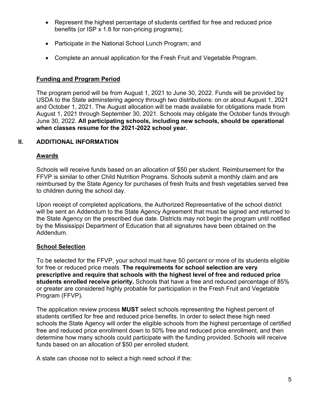- Represent the highest percentage of students certified for free and reduced price benefits (or ISP x 1.6 for non-pricing programs);
- Participate in the National School Lunch Program; and
- Complete an annual application for the Fresh Fruit and Vegetable Program.

#### **Funding and Program Period**

The program period will be from August 1, 2021 to June 30, 2022. Funds will be provided by USDA to the State adminstering agency through two distributions: on or about August 1, 2021 and October 1, 2021. The August allocation will be made available for obligations made from August 1, 2021 through September 30, 2021. Schools may obligate the October funds through June 30, 2022. **All participating schools, including new schools, should be operational when classes resume for the 2021-2022 school year.**

# **II. ADDITIONAL INFORMATION**

#### **Awards**

Schools will receive funds based on an allocation of \$50 per student. Reimbursement for the FFVP is similar to other Child Nutrition Programs. Schools submit a monthly claim and are reimbursed by the State Agency for purchases of fresh fruits and fresh vegetables served free to children during the school day.

Upon receipt of completed applications, the Authorized Representative of the school district will be sent an Addendum to the State Agency Agreement that must be signed and returned to the State Agency on the prescribed due date. Districts may not begin the program until notified by the Mississippi Department of Education that all signatures have been obtained on the Addendum.

#### **School Selection**

To be selected for the FFVP, your school must have 50 percent or more of its students eligible for free or reduced price meals. **The requirements for school selection are very prescriptive and require that schools with the highest level of free and reduced price students enrolled receive priority.** Schools that have a free and reduced percentage of 85% or greater are considered highly probable for participation in the Fresh Fruit and Vegetable Program (FFVP).

The application review process **MUST** select schools representing the highest percent of students certified for free and reduced price benefits. In order to select these high need schools the State Agency will order the eligible schools from the highest percentage of certified free and reduced price enrollment down to 50% free and reduced price enrollment, and then determine how many schools could participate with the funding provided. Schools will receive funds based on an allocation of \$50 per enrolled student.

A state can choose not to select a high need school if the: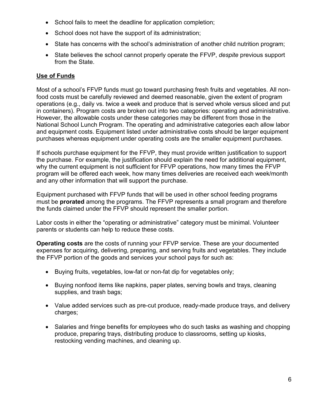- School fails to meet the deadline for application completion;
- School does not have the support of its administration;
- State has concerns with the school's administration of another child nutrition program;
- State believes the school cannot properly operate the FFVP, *despite* previous support from the State.

#### **Use of Funds**

Most of a school's FFVP funds must go toward purchasing fresh fruits and vegetables. All nonfood costs must be carefully reviewed and deemed reasonable, given the extent of program operations (e.g., daily vs. twice a week and produce that is served whole versus sliced and put in containers). Program costs are broken out into two categories: operating and administrative. However, the allowable costs under these categories may be different from those in the National School Lunch Program. The operating and administrative categories each allow labor and equipment costs. Equipment listed under administrative costs should be larger equipment purchases whereas equipment under operating costs are the smaller equipment purchases.

If schools purchase equipment for the FFVP, they must provide written justification to support the purchase. For example, the justification should explain the need for additional equipment, why the current equipment is not sufficient for FFVP operations, how many times the FFVP program will be offered each week, how many times deliveries are received each week/month and any other information that will support the purchase.

Equipment purchased with FFVP funds that will be used in other school feeding programs must be **prorated** among the programs. The FFVP represents a small program and therefore the funds claimed under the FFVP should represent the smaller portion.

Labor costs in either the "operating or administrative" category must be minimal. Volunteer parents or students can help to reduce these costs.

**Operating costs** are the costs of running your FFVP service. These are your documented expenses for acquiring, delivering, preparing, and serving fruits and vegetables. They include the FFVP portion of the goods and services your school pays for such as:

- Buying fruits, vegetables, low-fat or non-fat dip for vegetables only;
- Buying nonfood items like napkins, paper plates, serving bowls and trays, cleaning supplies, and trash bags;
- Value added services such as pre-cut produce, ready-made produce trays, and delivery charges;
- Salaries and fringe benefits for employees who do such tasks as washing and chopping produce, preparing trays, distributing produce to classrooms, setting up kiosks, restocking vending machines, and cleaning up.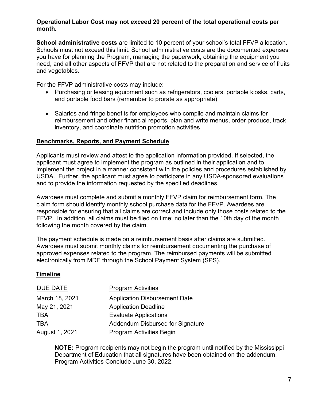#### **Operational Labor Cost may not exceed 20 percent of the total operational costs per month.**

**School administrative costs** are limited to 10 percent of your school's total FFVP allocation. Schools must not exceed this limit. School administrative costs are the documented expenses you have for planning the Program, managing the paperwork, obtaining the equipment you need, and all other aspects of FFVP that are not related to the preparation and service of fruits and vegetables.

For the FFVP administrative costs may include:

- Purchasing or leasing equipment such as refrigerators, coolers, portable kiosks, carts, and portable food bars (remember to prorate as appropriate)
- Salaries and fringe benefits for employees who compile and maintain claims for reimbursement and other financial reports, plan and write menus, order produce, track inventory, and coordinate nutrition promotion activities

# **Benchmarks, Reports, and Payment Schedule**

Applicants must review and attest to the application information provided. If selected, the applicant must agree to implement the program as outlined in their application and to implement the project in a manner consistent with the policies and procedures established by USDA. Further, the applicant must agree to participate in any USDA-sponsored evaluations and to provide the information requested by the specified deadlines.

Awardees must complete and submit a monthly FFVP claim for reimbursement form. The claim form should identify monthly school purchase data for the FFVP. Awardees are responsible for ensuring that all claims are correct and include only those costs related to the FFVP. In addition, all claims must be filed on time; no later than the 10th day of the month following the month covered by the claim.

The payment schedule is made on a reimbursement basis after claims are submitted. Awardees must submit monthly claims for reimbursement documenting the purchase of approved expenses related to the program. The reimbursed payments will be submitted electronically from MDE through the School Payment System (SPS).

# **Timeline**

| DUE DATE       | <b>Program Activities</b>               |
|----------------|-----------------------------------------|
| March 18, 2021 | <b>Application Disbursement Date</b>    |
| May 21, 2021   | <b>Application Deadline</b>             |
| TBA            | <b>Evaluate Applications</b>            |
| TBA            | <b>Addendum Disbursed for Signature</b> |
| August 1, 2021 | Program Activities Begin                |

**NOTE:** Program recipients may not begin the program until notified by the Mississippi Department of Education that all signatures have been obtained on the addendum. Program Activities Conclude June 30, 2022.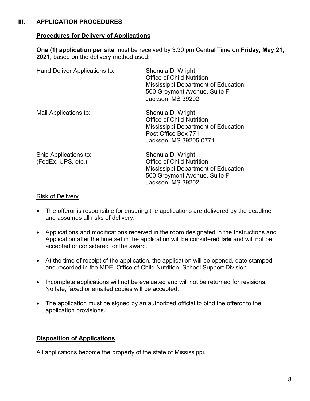#### **III. APPLICATION PROCEDURES**

#### **Procedures for Delivery of Applications**

**One (1) application per site** must be received by 3:30 pm Central Time on **Friday, May 21, 2021,** based on the delivery method used**:** 

| Hand Deliver Applications to:               | Shonula D. Wright<br>Office of Child Nutrition<br>Mississippi Department of Education<br>500 Greymont Avenue, Suite F<br>Jackson, MS 39202        |
|---------------------------------------------|---------------------------------------------------------------------------------------------------------------------------------------------------|
| Mail Applications to:                       | Shonula D. Wright<br><b>Office of Child Nutrition</b><br>Mississippi Department of Education<br>Post Office Box 771<br>Jackson, MS 39205-0771     |
| Ship Applications to:<br>(FedEx, UPS, etc.) | Shonula D. Wright<br><b>Office of Child Nutrition</b><br>Mississippi Department of Education<br>500 Greymont Avenue, Suite F<br>Jackson, MS 39202 |

#### Risk of Delivery

- The offeror is responsible for ensuring the applications are delivered by the deadline and assumes all risks of delivery.
- Applications and modifications received in the room designated in the Instructions and Application after the time set in the application will be considered **late** and will not be accepted or considered for the award.
- At the time of receipt of the application, the application will be opened, date stamped and recorded in the MDE, Office of Child Nutrition, School Support Division.
- Incomplete applications will not be evaluated and will not be returned for revisions. No late, faxed or emailed copies will be accepted.
- The application must be signed by an authorized official to bind the offeror to the application provisions.

# **Disposition of Applications**

All applications become the property of the state of Mississippi.